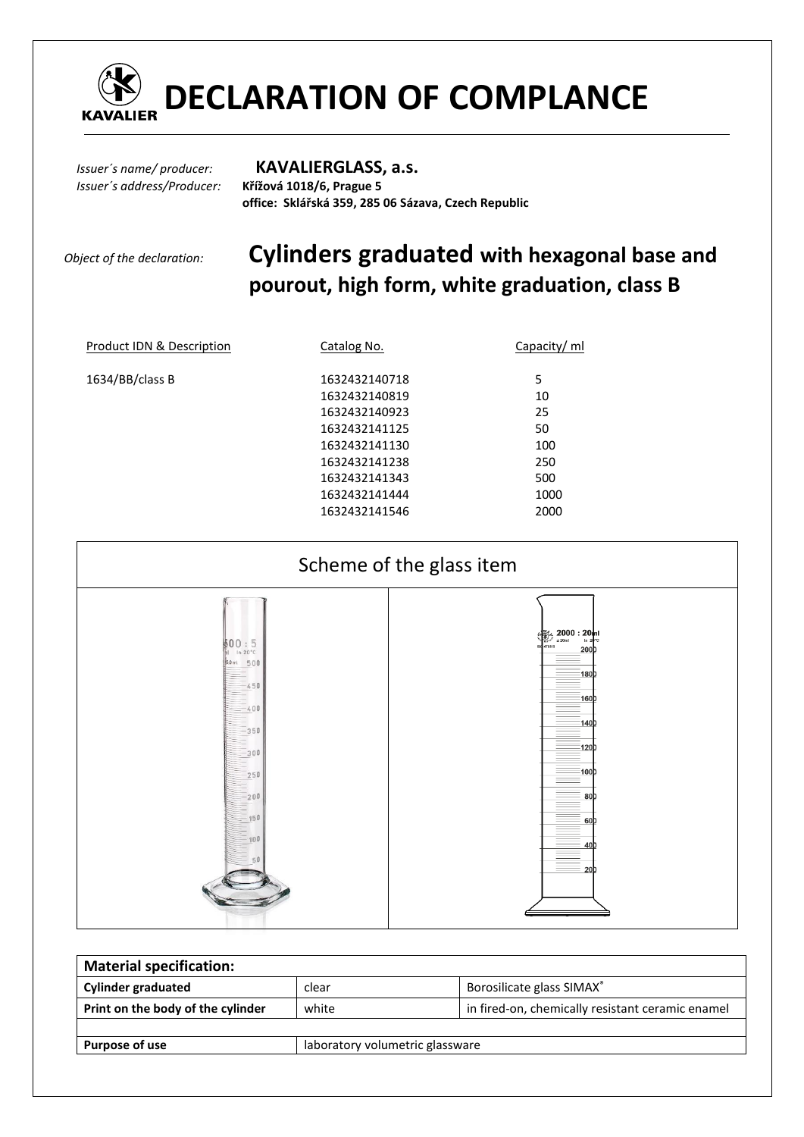

*Issuer´s address/Producer:* **Křížová 1018/6, Prague 5** 

## *Issuer´s name/ producer:* **KAVALIERGLASS, a.s.**

 **office: Sklářská 359, 285 06 Sázava, Czech Republic** 

# *Object of the declaration:* **Cylinders graduated with hexagonal base and pourout, high form, white graduation, class B**

| Product IDN & Description | Catalog No.   | Capacity/ ml |
|---------------------------|---------------|--------------|
| 1634/BB/class B           | 1632432140718 | 5            |
|                           | 1632432140819 | 10           |
|                           | 1632432140923 | 25           |
|                           | 1632432141125 | 50           |
|                           | 1632432141130 | 100          |
|                           | 1632432141238 | 250          |
|                           | 1632432141343 | 500          |
|                           | 1632432141444 | 1000         |
|                           | 1632432141546 | 2000         |
|                           |               |              |



| <b>Material specification:</b>    |                                 |                                                  |  |  |  |  |
|-----------------------------------|---------------------------------|--------------------------------------------------|--|--|--|--|
| <b>Cylinder graduated</b>         | clear                           | Borosilicate glass SIMAX®                        |  |  |  |  |
| Print on the body of the cylinder | white                           | in fired-on, chemically resistant ceramic enamel |  |  |  |  |
|                                   |                                 |                                                  |  |  |  |  |
| Purpose of use                    | laboratory volumetric glassware |                                                  |  |  |  |  |
|                                   |                                 |                                                  |  |  |  |  |